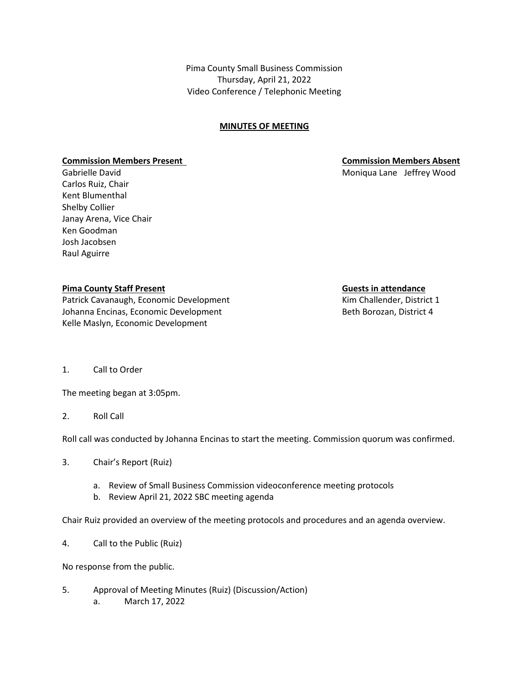Pima County Small Business Commission Thursday, April 21, 2022 Video Conference / Telephonic Meeting

## **MINUTES OF MEETING**

### **Commission Members Present Commission Members Absent**

Carlos Ruiz, Chair Kent Blumenthal Shelby Collier Janay Arena, Vice Chair Ken Goodman Josh Jacobsen Raul Aguirre

### **Pima County Staff Present <b>Guest Guests in attendance**

Patrick Cavanaugh, Economic Development Theorem Containst Cavanaugh, Economic Development Johanna Encinas, Economic Development **Beth Borozan, District 4** Kelle Maslyn, Economic Development

Gabrielle David **Moniqua Lane Jeffrey Wood** 

1. Call to Order

The meeting began at 3:05pm.

2. Roll Call

Roll call was conducted by Johanna Encinas to start the meeting. Commission quorum was confirmed.

- 3. Chair's Report (Ruiz)
	- a. Review of Small Business Commission videoconference meeting protocols
	- b. Review April 21, 2022 SBC meeting agenda

Chair Ruiz provided an overview of the meeting protocols and procedures and an agenda overview.

4. Call to the Public (Ruiz)

No response from the public.

5. Approval of Meeting Minutes (Ruiz) (Discussion/Action) a. March 17, 2022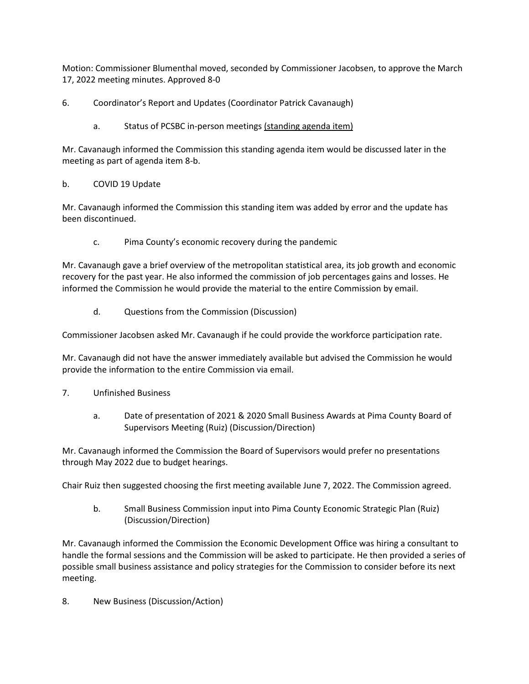Motion: Commissioner Blumenthal moved, seconded by Commissioner Jacobsen, to approve the March 17, 2022 meeting minutes. Approved 8-0

6. Coordinator's Report and Updates (Coordinator Patrick Cavanaugh)

a. Status of PCSBC in-person meetings (standing agenda item)

Mr. Cavanaugh informed the Commission this standing agenda item would be discussed later in the meeting as part of agenda item 8-b.

# b. COVID 19 Update

Mr. Cavanaugh informed the Commission this standing item was added by error and the update has been discontinued.

c. Pima County's economic recovery during the pandemic

Mr. Cavanaugh gave a brief overview of the metropolitan statistical area, its job growth and economic recovery for the past year. He also informed the commission of job percentages gains and losses. He informed the Commission he would provide the material to the entire Commission by email.

d. Questions from the Commission (Discussion)

Commissioner Jacobsen asked Mr. Cavanaugh if he could provide the workforce participation rate.

Mr. Cavanaugh did not have the answer immediately available but advised the Commission he would provide the information to the entire Commission via email.

- 7. Unfinished Business
	- a. Date of presentation of 2021 & 2020 Small Business Awards at Pima County Board of Supervisors Meeting (Ruiz) (Discussion/Direction)

Mr. Cavanaugh informed the Commission the Board of Supervisors would prefer no presentations through May 2022 due to budget hearings.

Chair Ruiz then suggested choosing the first meeting available June 7, 2022. The Commission agreed.

b. Small Business Commission input into Pima County Economic Strategic Plan (Ruiz) (Discussion/Direction)

Mr. Cavanaugh informed the Commission the Economic Development Office was hiring a consultant to handle the formal sessions and the Commission will be asked to participate. He then provided a series of possible small business assistance and policy strategies for the Commission to consider before its next meeting.

8. New Business (Discussion/Action)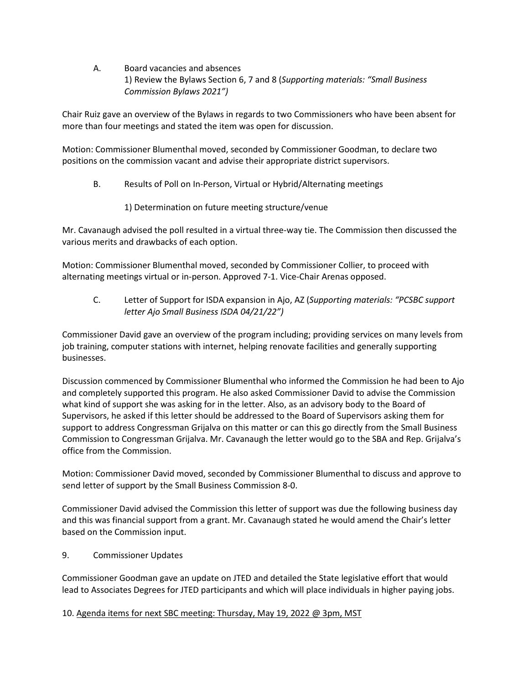A. Board vacancies and absences 1) Review the Bylaws Section 6, 7 and 8 (*Supporting materials: "Small Business Commission Bylaws 2021")*

Chair Ruiz gave an overview of the Bylaws in regards to two Commissioners who have been absent for more than four meetings and stated the item was open for discussion.

Motion: Commissioner Blumenthal moved, seconded by Commissioner Goodman, to declare two positions on the commission vacant and advise their appropriate district supervisors.

- B. Results of Poll on In-Person, Virtual or Hybrid/Alternating meetings
	- 1) Determination on future meeting structure/venue

Mr. Cavanaugh advised the poll resulted in a virtual three-way tie. The Commission then discussed the various merits and drawbacks of each option.

Motion: Commissioner Blumenthal moved, seconded by Commissioner Collier, to proceed with alternating meetings virtual or in-person. Approved 7-1. Vice-Chair Arenas opposed.

C. Letter of Support for ISDA expansion in Ajo, AZ (*Supporting materials: "PCSBC support letter Ajo Small Business ISDA 04/21/22")*

Commissioner David gave an overview of the program including; providing services on many levels from job training, computer stations with internet, helping renovate facilities and generally supporting businesses.

Discussion commenced by Commissioner Blumenthal who informed the Commission he had been to Ajo and completely supported this program. He also asked Commissioner David to advise the Commission what kind of support she was asking for in the letter. Also, as an advisory body to the Board of Supervisors, he asked if this letter should be addressed to the Board of Supervisors asking them for support to address Congressman Grijalva on this matter or can this go directly from the Small Business Commission to Congressman Grijalva. Mr. Cavanaugh the letter would go to the SBA and Rep. Grijalva's office from the Commission.

Motion: Commissioner David moved, seconded by Commissioner Blumenthal to discuss and approve to send letter of support by the Small Business Commission 8-0.

Commissioner David advised the Commission this letter of support was due the following business day and this was financial support from a grant. Mr. Cavanaugh stated he would amend the Chair's letter based on the Commission input.

9. Commissioner Updates

Commissioner Goodman gave an update on JTED and detailed the State legislative effort that would lead to Associates Degrees for JTED participants and which will place individuals in higher paying jobs.

## 10. Agenda items for next SBC meeting: Thursday, May 19, 2022 @ 3pm, MST